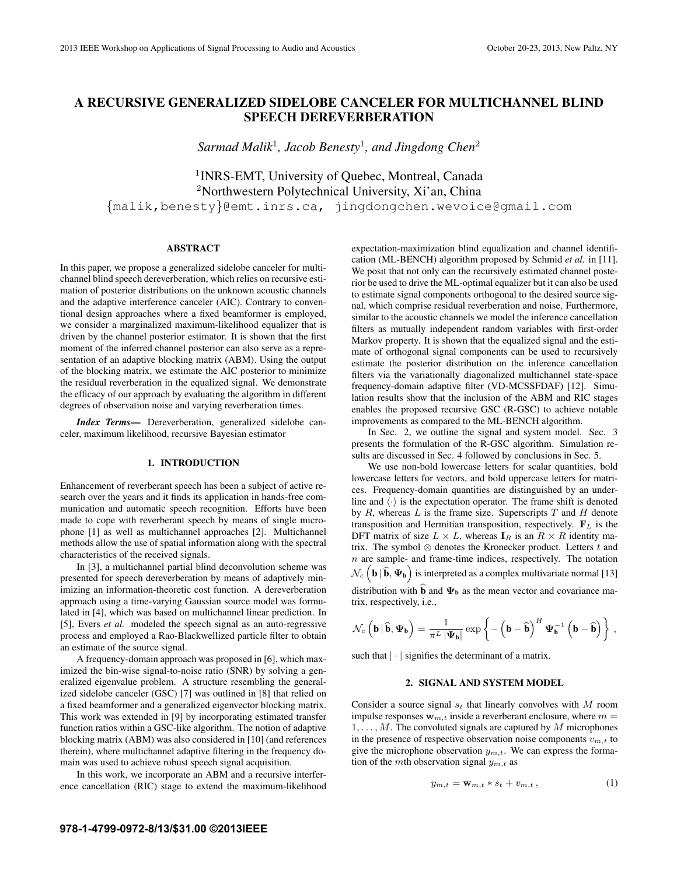# **A RECURSIVE GENERALIZED SIDELOBE CANCELER FOR MULTICHANNEL BLIND SPEECH DEREVERBERATION**

*Sarmad Malik*<sup>1</sup> *, Jacob Benesty*<sup>1</sup> *, and Jingdong Chen*<sup>2</sup>

<sup>1</sup> INRS-EMT, University of Quebec, Montreal, Canada <sup>2</sup>Northwestern Polytechnical University, Xi'an, China {malik,benesty}@emt.inrs.ca, jingdongchen.wevoice@gmail.com

# **ABSTRACT**

In this paper, we propose a generalized sidelobe canceler for multichannel blind speech dereverberation, which relies on recursive estimation of posterior distributions on the unknown acoustic channels and the adaptive interference canceler (AIC). Contrary to conventional design approaches where a fixed beamformer is employed, we consider a marginalized maximum-likelihood equalizer that is driven by the channel posterior estimator. It is shown that the first moment of the inferred channel posterior can also serve as a representation of an adaptive blocking matrix (ABM). Using the output of the blocking matrix, we estimate the AIC posterior to minimize the residual reverberation in the equalized signal. We demonstrate the efficacy of our approach by evaluating the algorithm in different degrees of observation noise and varying reverberation times.

*Index Terms***—** Dereverberation, generalized sidelobe canceler, maximum likelihood, recursive Bayesian estimator

#### **1. INTRODUCTION**

Enhancement of reverberant speech has been a subject of active research over the years and it finds its application in hands-free communication and automatic speech recognition. Efforts have been made to cope with reverberant speech by means of single microphone [1] as well as multichannel approaches [2]. Multichannel methods allow the use of spatial information along with the spectral characteristics of the received signals.

In [3], a multichannel partial blind deconvolution scheme was presented for speech dereverberation by means of adaptively minimizing an information-theoretic cost function. A dereverberation approach using a time-varying Gaussian source model was formulated in [4], which was based on multichannel linear prediction. In [5], Evers *et al.* modeled the speech signal as an auto-regressive process and employed a Rao-Blackwellized particle filter to obtain an estimate of the source signal.

A frequency-domain approach was proposed in [6], which maximized the bin-wise signal-to-noise ratio (SNR) by solving a generalized eigenvalue problem. A structure resembling the generalized sidelobe canceler (GSC) [7] was outlined in [8] that relied on a fixed beamformer and a generalized eigenvector blocking matrix. This work was extended in [9] by incorporating estimated transfer function ratios within a GSC-like algorithm. The notion of adaptive blocking matrix (ABM) was also considered in [10] (and references therein), where multichannel adaptive filtering in the frequency domain was used to achieve robust speech signal acquisition.

In this work, we incorporate an ABM and a recursive interference cancellation (RIC) stage to extend the maximum-likelihood expectation-maximization blind equalization and channel identification (ML-BENCH) algorithm proposed by Schmid *et al.* in [11]. We posit that not only can the recursively estimated channel posterior be used to drive the ML-optimal equalizer but it can also be used to estimate signal components orthogonal to the desired source signal, which comprise residual reverberation and noise. Furthermore, similar to the acoustic channels we model the inference cancellation filters as mutually independent random variables with first-order Markov property. It is shown that the equalized signal and the estimate of orthogonal signal components can be used to recursively estimate the posterior distribution on the inference cancellation filters via the variationally diagonalized multichannel state-space frequency-domain adaptive filter (VD-MCSSFDAF) [12]. Simulation results show that the inclusion of the ABM and RIC stages enables the proposed recursive GSC (R-GSC) to achieve notable improvements as compared to the ML-BENCH algorithm.

In Sec. 2, we outline the signal and system model. Sec. 3 presents the formulation of the R-GSC algorithm. Simulation results are discussed in Sec. 4 followed by conclusions in Sec. 5.

We use non-bold lowercase letters for scalar quantities, bold lowercase letters for vectors, and bold uppercase letters for matrices. Frequency-domain quantities are distinguished by an underline and  $\langle \cdot \rangle$  is the expectation operator. The frame shift is denoted by  $R$ , whereas  $L$  is the frame size. Superscripts  $T$  and  $H$  denote transposition and Hermitian transposition, respectively.  $\mathbf{F}_L$  is the DFT matrix of size  $L \times L$ , whereas  $I_R$  is an  $R \times R$  identity matrix. The symbol  $\otimes$  denotes the Kronecker product. Letters  $t$  and  $n$  are sample- and frame-time indices, respectively. The notation  $\mathcal{N}_c$   $\left(\mathbf{b} \mid \hat{\mathbf{b}}, \Psi_{\mathbf{b}}\right)$  is interpreted as a complex multivariate normal [13]

distribution with  $\hat{\mathbf{b}}$  and  $\Psi_{\mathbf{b}}$  as the mean vector and covariance matrix, respectively, i.e.,

$$
\mathcal{N}_c\left(\mathbf{b}\,\vert\,\widehat{\mathbf{b}},\Psi_{\mathbf{b}}\right) = \frac{1}{\pi^L\,\vert\Psi_{\mathbf{b}}\vert}\exp\left\{-\left(\mathbf{b}-\widehat{\mathbf{b}}\right)^H\Psi_{\mathbf{b}}^{-1}\left(\mathbf{b}-\widehat{\mathbf{b}}\right)\right\}\,,
$$

such that  $|\cdot|$  signifies the determinant of a matrix.

# **2. SIGNAL AND SYSTEM MODEL**

Consider a source signal  $s_t$  that linearly convolves with  $M$  room impulse responses  $w_{m,t}$  inside a reverberant enclosure, where  $m =$  $1, \ldots, M$ . The convoluted signals are captured by M microphones in the presence of respective observation noise components  $v_{m,t}$  to give the microphone observation  $y_{m,t}$ . We can express the formation of the mth observation signal  $y_{m,t}$  as

$$
y_{m,t} = \mathbf{w}_{m,t} * s_t + v_{m,t}, \qquad (1)
$$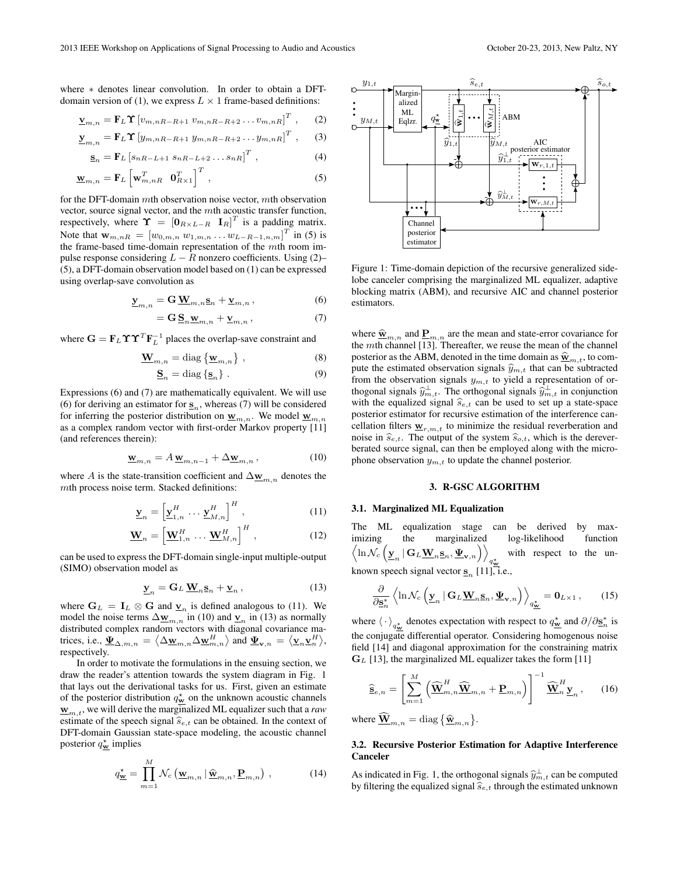where  $*$  denotes linear convolution. In order to obtain a DFTdomain version of (1), we express  $L \times 1$  frame-based definitions:

$$
\underline{\mathbf{v}}_{m,n} = \mathbf{F}_L \boldsymbol{\Upsilon} \left[ v_{m,nR-R+1} \ v_{m,nR-R+2} \dots v_{m,nR} \right]^T, \qquad (2)
$$

$$
\underline{\mathbf{y}}_{m,n} = \mathbf{F}_L \boldsymbol{\Upsilon} \left[ y_{m,nR-R+1} \ y_{m,nR-R+2} \dots y_{m,nR} \right]^T , \qquad (3)
$$

$$
\underline{\mathbf{s}}_{n} = \mathbf{F}_{L} \left[ s_{nR-L+1} \ s_{nR-L+2} \dots s_{nR} \right]^{T}, \tag{4}
$$

$$
\mathbf{\underline{w}}_{m,n} = \mathbf{F}_L \left[ \mathbf{w}_{m,nR}^T \quad \mathbf{0}_{R \times 1}^T \right]^T , \tag{5}
$$

for the DFT-domain  $m$ th observation noise vector,  $m$ th observation vector, source signal vector, and the mth acoustic transfer function, respectively, where  $\Upsilon = [\mathbf{0}_{R \times L-R} \ \mathbf{I}_R]^T$  is a padding matrix. Note that  $w_{m,nR} = [w_{0,m,n} w_{1,m,n} \dots w_{L-R-1,n,m}]^T$  in (5) is the frame-based time-domain representation of the mth room impulse response considering  $L - R$  nonzero coefficients. Using (2)– (5), a DFT-domain observation model based on (1) can be expressed using overlap-save convolution as

$$
\underline{\mathbf{y}}_{m,n} = \mathbf{G} \, \underline{\mathbf{W}}_{m,n} \underline{\mathbf{s}}_n + \underline{\mathbf{v}}_{m,n} \,, \tag{6}
$$

$$
=\mathbf{G}\,\underline{\mathbf{S}}_n\underline{\mathbf{w}}_{m,n}+\underline{\mathbf{v}}_{m,n}\,,\tag{7}
$$

where  $\mathbf{G} = \mathbf{F}_L \Upsilon \Upsilon^T \mathbf{F}_L^{-1}$  places the overlap-save constraint and

$$
\mathbf{W}_{m,n} = \text{diag}\left\{\mathbf{w}_{m,n}\right\},\tag{8}
$$

$$
\underline{\mathbf{S}}_n = \text{diag}\left\{\underline{\mathbf{s}}_n\right\} \,. \tag{9}
$$

Expressions (6) and (7) are mathematically equivalent. We will use (6) for deriving an estimator for  $S_n$ , whereas (7) will be considered for inferring the posterior distribution on  $\underline{\mathbf{w}}_{m,n}$ . We model  $\underline{\mathbf{w}}_{m,n}$ as a complex random vector with first-order Markov property [11] (and references therein):

$$
\mathbf{w}_{m,n} = A \mathbf{w}_{m,n-1} + \Delta \mathbf{w}_{m,n},\tag{10}
$$

where A is the state-transition coefficient and  $\Delta_{\mathbf{W}_{m,n}}$  denotes the mth process noise term. Stacked definitions:

$$
\underline{\mathbf{y}}_n = \left[\underline{\mathbf{y}}_{1,n}^H \cdots \underline{\mathbf{y}}_{M,n}^H\right]^H, \qquad (11)
$$

$$
\mathbf{W}_n = \left[\mathbf{W}_{1,n}^H \cdots \mathbf{W}_{M,n}^H\right]^H, \qquad (12)
$$

can be used to express the DFT-domain single-input multiple-output (SIMO) observation model as

$$
\underline{\mathbf{y}}_n = \mathbf{G}_L \, \underline{\mathbf{W}}_n \underline{\mathbf{s}}_n + \underline{\mathbf{v}}_n \,, \tag{13}
$$

where  $G_L = I_L \otimes G$  and  $\underline{v}_n$  is defined analogous to (11). We model the noise terms  $\Delta_{\mathbf{W}_{m,n}}$  in (10) and  $\underline{\mathbf{v}}_n$  in (13) as normally distributed complex random vectors with diagonal covariance matrices, i.e.,  $\underline{\Psi}_{\Delta,m,n} = \langle \Delta \underline{\mathbf{w}}_{m,n} \Delta \underline{\mathbf{w}}_{m,n}^H \rangle$  and  $\underline{\Psi}_{\mathbf{v},n} = \langle \underline{\mathbf{v}}_n \underline{\mathbf{v}}_n^H \rangle$ , respectively.

In order to motivate the formulations in the ensuing section, we draw the reader's attention towards the system diagram in Fig. 1 that lays out the derivational tasks for us. First, given an estimate of the posterior distribution  $q_w^*$  on the unknown acoustic channels  $\underline{\mathbf{w}}_{m,t}$ , we will derive the marginalized ML equalizer such that a *raw* estimate of the speech signal  $\hat{s}_{e,t}$  can be obtained. In the context of DFT-domain Gaussian state-space modeling, the acoustic channel posterior  $q_w^*$  implies

$$
q_{\underline{\mathbf{w}}}^{\star} = \prod_{m=1}^{M} \mathcal{N}_c \left( \underline{\mathbf{w}}_{m,n} | \widehat{\underline{\mathbf{w}}}_{m,n}, \underline{\mathbf{P}}_{m,n} \right), \qquad (14)
$$



Figure 1: Time-domain depiction of the recursive generalized sidelobe canceler comprising the marginalized ML equalizer, adaptive blocking matrix (ABM), and recursive AIC and channel posterior estimators.

where  $\hat{\mathbf{w}}_{m,n}$  and  $\underline{\mathbf{P}}_{m,n}$  are the mean and state-error covariance for the *mth* channel [13]. Thereafter, we reuse the mean of the channel posterior as the ABM, denoted in the time domain as  $\hat{\mathbf{x}}_{m,t}$ , to compute the estimated observation signals  $\hat{y}_{m,t}$  that can be subtracted from the observation signals  $y_{m,t}$  to yield a representation of orthogonal signals  $\hat{y}^{\perp}_{m,t}$ . The orthogonal signals  $\hat{y}^{\perp}_{m,t}$  in conjunction<br>with the couplined signal  $\hat{z}$  and he used to set up a state species with the equalized signal  $\hat{s}_{e,t}$  can be used to set up a state-space posterior estimator for recursive estimation of the interference cancellation filters  $\underline{\mathbf{w}}_{r,m,t}$  to minimize the residual reverberation and noise in  $\widehat{s}_{e,t}$ . The output of the system  $\widehat{s}_{o,t}$ , which is the dereverberated source signal, can then be employed along with the microphone observation  $y_{m,t}$  to update the channel posterior.

#### **3. R-GSC ALGORITHM**

#### **3.1. Marginalized ML Equalization**

The ML equalization stage can be derived by maximizing the marginalized log-likelihood function  $\left\langle \ln \mathcal{N}_c\left(\underline{\mathbf{y}}_n \,|\, \mathbf{G}_L \underline{\mathbf{W}}_n \underline{\mathbf{s}}_n, \underline{\mathbf{\Psi}}_{\mathbf{v},n} \right) \right\rangle$  $q_{\mathbf{w}}^*$ with respect to the unknown speech signal vector  $\underline{\mathbf{s}}_n$  [11], i.e.,

$$
\frac{\partial}{\partial \mathbf{s}_n^*} \left\langle \ln \mathcal{N}_c \left( \underline{\mathbf{y}}_n \, | \, \mathbf{G}_L \underline{\mathbf{W}}_n \mathbf{s}_n, \underline{\mathbf{\Psi}}_{\mathbf{v},n} \right) \right\rangle_{q^*_{\underline{\mathbf{w}}}} = \mathbf{0}_{L \times 1} \,, \tag{15}
$$

where  $\langle \cdot \rangle_{q_{\mathbf{w}}^*}$  denotes expectation with respect to  $q_{\mathbf{w}}^*$  and  $\partial/\partial \mathbf{s}_n^*$  is the conjugate differential operator. Considering homogenous noise field [14] and diagonal approximation for the constraining matrix  $G_L$  [13], the marginalized ML equalizer takes the form [11]

$$
\widehat{\mathbf{s}}_{e,n} = \left[ \sum_{m=1}^{M} \left( \widehat{\mathbf{W}}_{m,n}^{H} \widehat{\mathbf{W}}_{m,n} + \mathbf{P}_{m,n} \right) \right]^{-1} \widehat{\mathbf{W}}_{n}^{H} \mathbf{y}_{n}, \qquad (16)
$$

where  $\widehat{\mathbf{W}}_{m,n} = \text{diag} \left\{ \widehat{\mathbf{w}}_{m,n} \right\}$ .

## **3.2. Recursive Posterior Estimation for Adaptive Interference Canceler**

As indicated in Fig. 1, the orthogonal signals  $\hat{y}^{\perp}_{m,t}$  can be computed<br>by filtering the squalized signal  $\hat{\epsilon}$ , through the estimated unknown by filtering the equalized signal  $\widehat{s}_{e,t}$  through the estimated unknown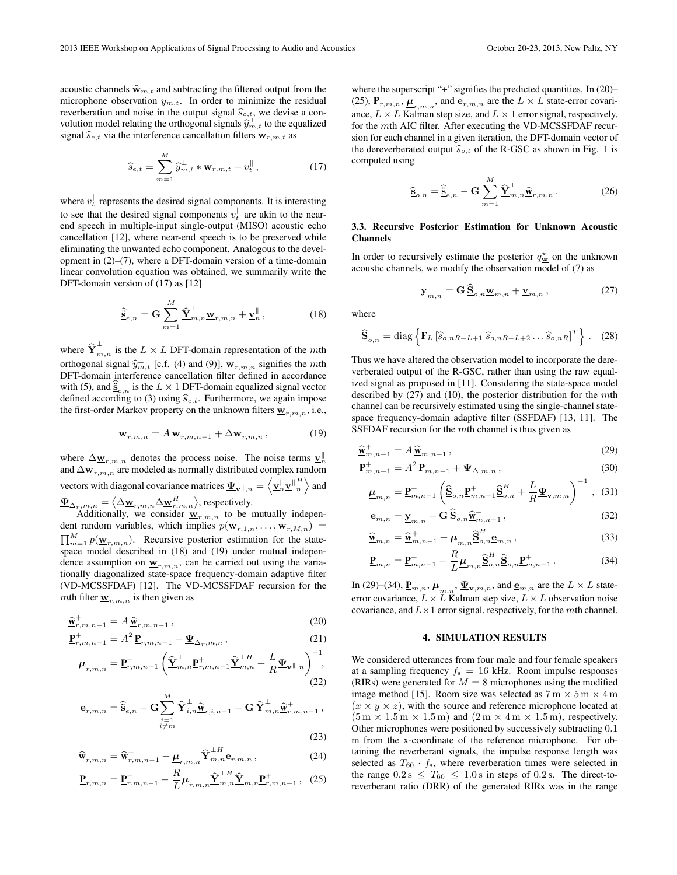acoustic channels  $\hat{\mathbf{w}}_{m,t}$  and subtracting the filtered output from the microphone observation  $y_{m,t}$ . In order to minimize the residual reverberation and noise in the output signal  $\hat{s}_{o,t}$ , we devise a convolution model relating the orthogonal signals  $\hat{y}^{\perp}_{m,t}$  to the equalized signal  $\widehat{s}_{e,t}$  via the interference cancellation filters  $w_{r,m,t}$  as

$$
\widehat{s}_{e,t} = \sum_{m=1}^{M} \widehat{y}_{m,t}^{\perp} * \mathbf{w}_{r,m,t} + v_t^{\parallel},
$$
\n(17)

where  $v_t^{\parallel}$  represents the desired signal components. It is interesting to see that the desired signal components  $v_t^{\parallel}$  are akin to the nearend speech in multiple-input single-output (MISO) acoustic echo cancellation [12], where near-end speech is to be preserved while eliminating the unwanted echo component. Analogous to the development in (2)–(7), where a DFT-domain version of a time-domain linear convolution equation was obtained, we summarily write the DFT-domain version of (17) as [12]

$$
\widehat{\tilde{\mathbf{g}}}_{e,n} = \mathbf{G} \sum_{m=1}^{M} \widehat{\mathbf{\Sigma}}_{m,n}^{\perp} \mathbf{w}_{r,m,n} + \mathbf{y}_{n}^{\parallel}, \qquad (18)
$$

where  $\hat{\Sigma}_{m,n}^{\perp}$  is the  $L \times L$  DFT-domain representation of the mth orthogonal signal  $\hat{y}_{m,t}^{\perp}$  [c.f. (4) and (9)],  $\underline{\mathbf{w}}_{r,m,n}$  signifies the *mth*<br>NET domain interference expeallation filter defined in essentiance DFT-domain interference cancellation filter defined in accordance with (5), and  $\underline{\mathbf{s}}_{e,n}$  is the  $L \times 1$  DFT-domain equalized signal vector defined according to (3) using  $\hat{s}_{e,t}$ . Furthermore, we again impose the first-order Markov property on the unknown filters  $\underline{\mathbf{w}}_{r,m,n}$ , i.e.,

$$
\underline{\mathbf{w}}_{r,m,n} = A \underline{\mathbf{w}}_{r,m,n-1} + \Delta \underline{\mathbf{w}}_{r,m,n}, \qquad (19)
$$

where  $\Delta_{\mathbf{W}_{r,m,n}}$  denotes the process noise. The noise terms  $\mathbf{v}_{n}^{\parallel}$  and  $\Delta_{\mathbf{W}_{r,m,n}}$  are modeled as normally distributed complex random vectors with diagonal covariance matrices  $\underline{\Psi}_{\mathbf{v}^{\parallel},n} = \left\langle \underline{\mathbf{v}}_n^{\parallel} \underline{\mathbf{v}}_n^{\parallel H} \right\rangle$  and  ${\underline{\bf \Psi}}_{{\Delta}_r,m,n}=\big\langle {\Delta}_{{\bf \underline w}_{r,m,n}} {\Delta}_{{\bf \underline w}_{r,m,n}^H} \big\rangle,$  respectively.

Additionally, we consider  $\underline{\mathbf{w}}_{r,m,n}$  to be mutually independent random variables, which implies  $p(\mathbf{w}_{r,1,n}, \dots, \mathbf{w}_{r,M,n})$  =  $\prod_{m=1}^{M} p(\mathbf{w}_{r,m,n})$ . Recursive posterior estimation for the statespace model described in (18) and (19) under mutual independence assumption on  $\underline{\mathbf{w}}_{r,m,n}$ , can be carried out using the variationally diagonalized state-space frequency-domain adaptive filter (VD-MCSSFDAF) [12]. The VD-MCSSFDAF recursion for the mth filter  $\underline{\mathbf{w}}_{r,m,n}$  is then given as

$$
\widehat{\mathbf{w}}_{r,m,n-1}^{+} = A \widehat{\mathbf{w}}_{r,m,n-1},\tag{20}
$$
\n
$$
\mathbf{p}_{+}^{+} \qquad \qquad 4^{2} \mathbf{p}_{+} \qquad \qquad (21)
$$

$$
\underline{\mathbf{P}}_{r,m,n-1}^{+} = A^2 \underline{\mathbf{P}}_{r,m,n-1} + \underline{\mathbf{\Psi}}_{\Delta_r,m,n}, \qquad (21)
$$

$$
\underline{\boldsymbol{\mu}}_{r,m,n} = \underline{\mathbf{P}}_{r,m,n-1}^{+} \left( \widehat{\underline{\mathbf{Y}}}_{m,n}^{\perp} \underline{\mathbf{P}}_{r,m,n-1}^{+} \widehat{\underline{\mathbf{Y}}}_{m,n}^{\perp H} + \frac{L}{R} \underline{\boldsymbol{\Psi}}_{\mathbf{v}} \mathbb{I}_{,n} \right)^{-1},
$$
\n(22)

$$
\underline{\mathbf{e}}_{r,m,n} = \widehat{\underline{\mathbf{s}}}_{e,n} - \mathbf{G} \sum_{\substack{i=1 \ i \neq m}}^M \widehat{\underline{\mathbf{Y}}}_{i,n}^{\perp} \widehat{\underline{\mathbf{w}}}_{r,i,n-1} - \mathbf{G} \widehat{\underline{\mathbf{Y}}}_{m,n}^{\perp} \widehat{\underline{\mathbf{w}}}_{r,m,n-1}^+,
$$

$$
(23)
$$

$$
\widehat{\mathbf{w}}_{r,m,n} = \widehat{\mathbf{w}}_{r,m,n-1}^+ + \underline{\mu}_{r,m,n} \widehat{\mathbf{\Sigma}}_{m,n}^{\perp H} \mathbf{e}_{r,m,n},
$$
\n(24)

$$
\underline{\mathbf{P}}_{r,m,n} = \underline{\mathbf{P}}_{r,m,n-1}^+ - \frac{R}{L} \underline{\boldsymbol{\mu}}_{r,m,n} \hat{\underline{\mathbf{Y}}}_{m,n}^{\perp H} \hat{\underline{\mathbf{Y}}}_{m,n}^{\perp} \underline{\mathbf{P}}_{r,m,n-1}^+, \tag{25}
$$

where the superscript "+" signifies the predicted quantities. In (20)-(25),  $\underline{\mathbf{P}}_{r,m,n}, \underline{\boldsymbol{\mu}}_{r,m,n}$ , and  $\underline{\mathbf{e}}_{r,m,n}$  are the  $L \times L$  state-error covariance,  $L \times L$  Kalman step size, and  $L \times 1$  error signal, respectively, for the mth AIC filter. After executing the VD-MCSSFDAF recursion for each channel in a given iteration, the DFT-domain vector of the dereverberated output  $\widehat{s}_{o,t}$  of the R-GSC as shown in Fig. 1 is computed using

$$
\widehat{\underline{\mathbf{s}}}_{o,n} = \widehat{\underline{\mathbf{s}}}_{e,n} - \mathbf{G} \sum_{m=1}^{M} \widehat{\underline{\mathbf{Y}}}^{\perp}_{m,n} \widehat{\underline{\mathbf{w}}}_{r,m,n}.
$$
 (26)

## **3.3. Recursive Posterior Estimation for Unknown Acoustic Channels**

In order to recursively estimate the posterior  $q_w^*$  on the unknown acoustic channels, we modify the observation model of (7) as

$$
\underline{\mathbf{y}}_{m,n} = \mathbf{G} \,\underline{\mathbf{S}}_{o,n} \underline{\mathbf{w}}_{m,n} + \underline{\mathbf{v}}_{m,n} \,, \tag{27}
$$

where

$$
\widehat{\mathbf{S}}_{o,n} = \text{diag}\left\{ \mathbf{F}_L \left[ \widehat{s}_{o,nR-L+1} \ \widehat{s}_{o,nR-L+2} \dots \widehat{s}_{o,nR} \right]^T \right\}. \tag{28}
$$

Thus we have altered the observation model to incorporate the dereverberated output of the R-GSC, rather than using the raw equalized signal as proposed in [11]. Considering the state-space model described by  $(27)$  and  $(10)$ , the posterior distribution for the mth channel can be recursively estimated using the single-channel statespace frequency-domain adaptive filter (SSFDAF) [13, 11]. The SSFDAF recursion for the mth channel is thus given as

$$
\widehat{\mathbf{w}}_{m,n-1}^{+} = A \widehat{\mathbf{w}}_{m,n-1} ,\qquad(29)
$$

$$
\underline{\mathbf{P}}_{m,n-1}^{+} = A^2 \underline{\mathbf{P}}_{m,n-1} + \underline{\mathbf{\Psi}}_{\Delta,m,n} \,, \tag{30}
$$

$$
\underline{\mu}_{m,n} = \underline{\mathbf{P}}_{m,n-1}^+ \left( \widehat{\underline{\mathbf{S}}}_{o,n} \underline{\mathbf{P}}_{m,n-1}^+ \widehat{\underline{\mathbf{S}}}_{o,n}^H + \frac{L}{R} \underline{\Psi}_{\mathbf{v},m,n} \right)^{-1}, \quad (31)
$$

$$
\underline{\mathbf{e}}_{m,n} = \underline{\mathbf{y}}_{m,n} - \mathbf{G} \,\underline{\widehat{\mathbf{S}}}_{o,n} \hat{\underline{\mathbf{w}}}_{m,n-1}^+, \tag{32}
$$

$$
\widehat{\mathbf{w}}_{m,n} = \widehat{\mathbf{w}}_{m,n-1}^+ + \underline{\mu}_{m,n} \widehat{\mathbf{S}}_{o,n}^H \mathbf{e}_{m,n},
$$
\n(33)

$$
\underline{\mathbf{P}}_{m,n} = \underline{\mathbf{P}}_{m,n-1}^+ - \frac{R}{L} \underline{\boldsymbol{\mu}}_{m,n} \underline{\widehat{\mathbf{S}}}_{o,n}^H \underline{\widehat{\mathbf{S}}}_{o,n} \underline{\mathbf{P}}_{m,n-1}^+ \,. \tag{34}
$$

In (29)–(34),  $\underline{\mathbf{P}}_{m,n}$ ,  $\underline{\boldsymbol{\mu}}_{m,n}$ ,  $\underline{\boldsymbol{\Psi}}_{\mathbf{v},m,n}$ , and  $\underline{\mathbf{e}}_{m,n}$  are the  $L \times L$  stateerror covariance,  $L \times L$  Kalman step size,  $L \times L$  observation noise covariance, and  $L \times 1$  error signal, respectively, for the *mth* channel.

#### **4. SIMULATION RESULTS**

We considered utterances from four male and four female speakers at a sampling frequency  $f_s = 16$  kHz. Room impulse responses (RIRs) were generated for  $M = 8$  microphones using the modified image method [15]. Room size was selected as  $7 \text{ m} \times 5 \text{ m} \times 4 \text{ m}$  $(x \times y \times z)$ , with the source and reference microphone located at  $(5 \text{ m} \times 1.5 \text{ m} \times 1.5 \text{ m})$  and  $(2 \text{ m} \times 4 \text{ m} \times 1.5 \text{ m})$ , respectively. Other microphones were positioned by successively subtracting 0.1 m from the x-coordinate of the reference microphone. For obtaining the reverberant signals, the impulse response length was selected as  $T_{60} \cdot f_s$ , where reverberation times were selected in the range  $0.2 \text{ s } \leq T_{60} \leq 1.0 \text{ s}$  in steps of 0.2 s. The direct-toreverberant ratio (DRR) of the generated RIRs was in the range